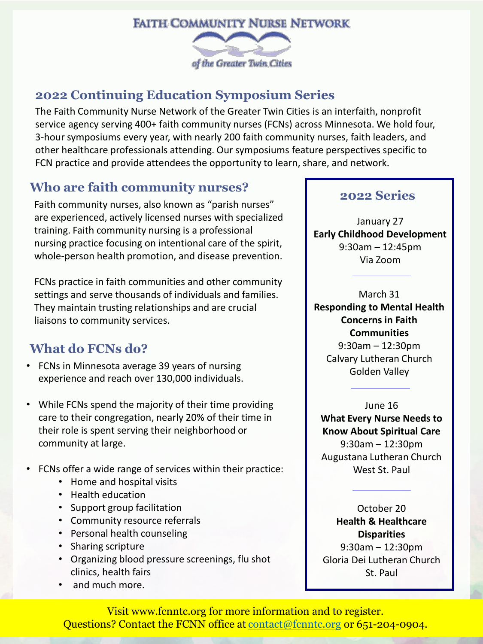

### **2022 Continuing Education Symposium Series**

The Faith Community Nurse Network of the Greater Twin Cities is an interfaith, nonprofit service agency serving 400+ faith community nurses (FCNs) across Minnesota. We hold four, 3-hour symposiums every year, with nearly 200 faith community nurses, faith leaders, and other healthcare professionals attending. Our symposiums feature perspectives specific to FCN practice and provide attendees the opportunity to learn, share, and network.

## **Who are faith community nurses?**

Faith community nurses, also known as "parish nurses" are experienced, actively licensed nurses with specialized training. Faith community nursing is a professional nursing practice focusing on intentional care of the spirit, whole-person health promotion, and disease prevention.

FCNs practice in faith communities and other community settings and serve thousands of individuals and families. They maintain trusting relationships and are crucial liaisons to community services.

## **What do FCNs do?**

- FCNs in Minnesota average 39 years of nursing experience and reach over 130,000 individuals.
- While FCNs spend the majority of their time providing care to their congregation, nearly 20% of their time in their role is spent serving their neighborhood or community at large.
- FCNs offer a wide range of services within their practice:
	- Home and hospital visits
	- Health education
	- Support group facilitation
	- Community resource referrals
	- Personal health counseling
	- Sharing scripture
	- Organizing blood pressure screenings, flu shot clinics, health fairs
	- and much more.

#### **2022 Series**

January 27 **Early Childhood Development** 9:30am – 12:45pm Via Zoom

March 31 **Responding to Mental Health Concerns in Faith Communities** 9:30am – 12:30pm Calvary Lutheran Church Golden Valley

June 16 **What Every Nurse Needs to Know About Spiritual Care** 9:30am – 12:30pm Augustana Lutheran Church West St. Paul

October 20 **Health & Healthcare Disparities** 9:30am – 12:30pm Gloria Dei Lutheran Church St. Paul

Visit www.fcnntc.org for more information and to register. Questions? Contact the FCNN office at [contact@fcnntc.org](mailto:contact@fcnntc.org) or 651-204-0904.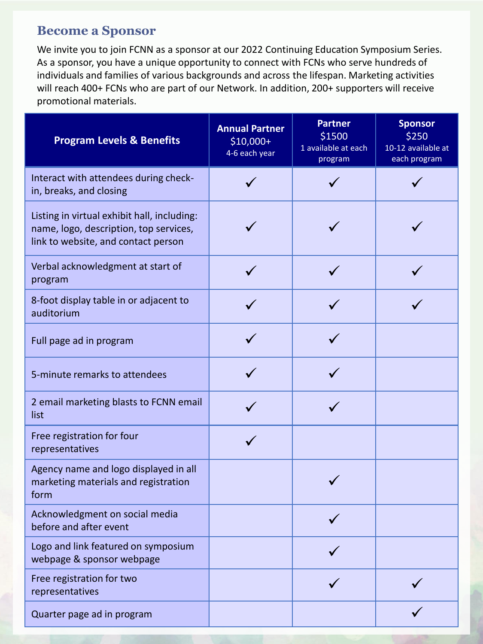#### **Become a Sponsor**

We invite you to join FCNN as a sponsor at our 2022 Continuing Education Symposium Series. As a sponsor, you have a unique opportunity to connect with FCNs who serve hundreds of individuals and families of various backgrounds and across the lifespan. Marketing activities will reach 400+ FCNs who are part of our Network. In addition, 200+ supporters will receive promotional materials.

| <b>Program Levels &amp; Benefits</b>                                                                                         | <b>Annual Partner</b><br>$$10,000+$<br>4-6 each year | <b>Partner</b><br>\$1500<br>1 available at each<br>program | <b>Sponsor</b><br>\$250<br>10-12 available at<br>each program |
|------------------------------------------------------------------------------------------------------------------------------|------------------------------------------------------|------------------------------------------------------------|---------------------------------------------------------------|
| Interact with attendees during check-<br>in, breaks, and closing                                                             |                                                      |                                                            |                                                               |
| Listing in virtual exhibit hall, including:<br>name, logo, description, top services,<br>link to website, and contact person |                                                      |                                                            |                                                               |
| Verbal acknowledgment at start of<br>program                                                                                 |                                                      |                                                            |                                                               |
| 8-foot display table in or adjacent to<br>auditorium                                                                         |                                                      |                                                            |                                                               |
| Full page ad in program                                                                                                      |                                                      |                                                            |                                                               |
| 5-minute remarks to attendees                                                                                                |                                                      |                                                            |                                                               |
| 2 email marketing blasts to FCNN email<br>list                                                                               |                                                      |                                                            |                                                               |
| Free registration for four<br>representatives                                                                                |                                                      |                                                            |                                                               |
| Agency name and logo displayed in all<br>marketing materials and registration<br>form                                        |                                                      |                                                            |                                                               |
| Acknowledgment on social media<br>before and after event                                                                     |                                                      |                                                            |                                                               |
| Logo and link featured on symposium<br>webpage & sponsor webpage                                                             |                                                      |                                                            |                                                               |
| Free registration for two<br>representatives                                                                                 |                                                      |                                                            |                                                               |
| Quarter page ad in program                                                                                                   |                                                      |                                                            |                                                               |